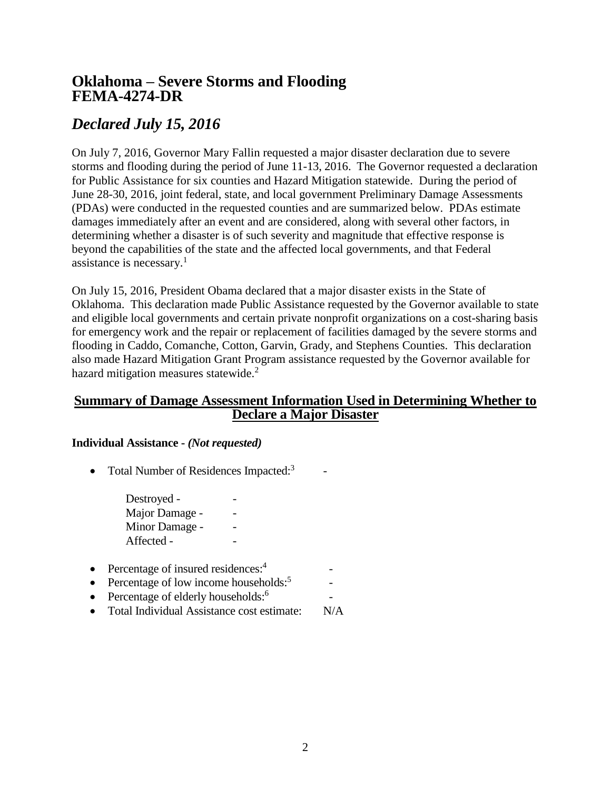## **Oklahoma – Severe Storms and Flooding FEMA-4274-DR**

# *Declared July 15, 2016*

On July 7, 2016, Governor Mary Fallin requested a major disaster declaration due to severe storms and flooding during the period of June 11-13, 2016. The Governor requested a declaration for Public Assistance for six counties and Hazard Mitigation statewide. During the period of June 28-30, 2016, joint federal, state, and local government Preliminary Damage Assessments (PDAs) were conducted in the requested counties and are summarized below. PDAs estimate damages immediately after an event and are considered, along with several other factors, in determining whether a disaster is of such severity and magnitude that effective response is beyond the capabilities of the state and the affected local governments, and that Federal assistance is necessary. $\frac{1}{1}$ 

On July 15, 2016, President Obama declared that a major disaster exists in the State of Oklahoma. This declaration made Public Assistance requested by the Governor available to state and eligible local governments and certain private nonprofit organizations on a cost-sharing basis for emergency work and the repair or replacement of facilities damaged by the severe storms and flooding in Caddo, Comanche, Cotton, Garvin, Grady, and Stephens Counties. This declaration also made Hazard Mitigation Grant Program assistance requested by the Governor available for hazard mitigation measures statewide.<sup>2</sup>

### **Summary of Damage Assessment Information Used in Determining Whether to Declare a Major Disaster**

-

-

#### **Individual Assistance -** *(Not requested)*

• Total Number of Residences Impacted: $3$ -

> Destroyed -Major Damage -Minor Damage -Affected -

- Percentage of insured residences: $4$
- Percentage of low income households: $5<sup>5</sup>$
- Percentage of elderly households: $6$
- Total Individual Assistance cost estimate: N/A